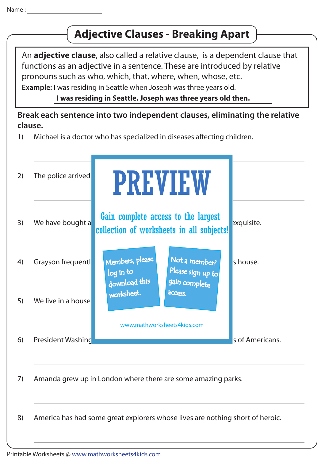